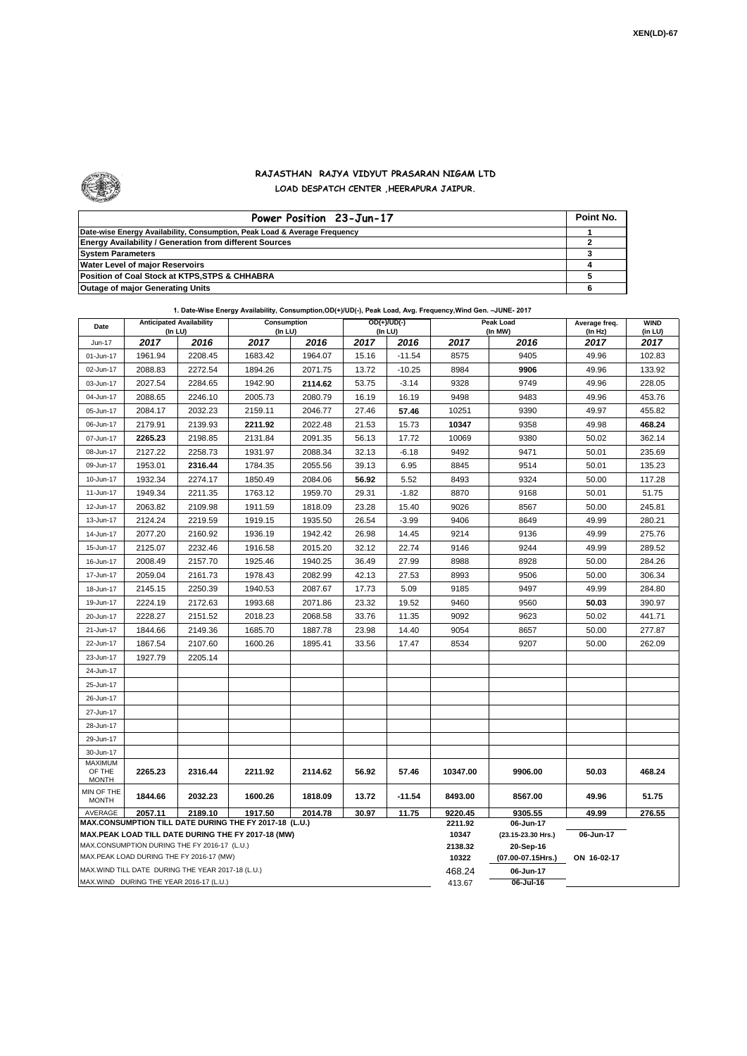

## **RAJASTHAN RAJYA VIDYUT PRASARAN NIGAM LTD**

**LOAD DESPATCH CENTER ,HEERAPURA JAIPUR.**

| Power Position 23-Jun-17                                                  | Point No. |
|---------------------------------------------------------------------------|-----------|
| Date-wise Energy Availability, Consumption, Peak Load & Average Frequency |           |
| <b>Energy Availability / Generation from different Sources</b>            |           |
| <b>System Parameters</b>                                                  |           |
| <b>Water Level of major Reservoirs</b>                                    |           |
| Position of Coal Stock at KTPS, STPS & CHHABRA                            |           |
| <b>Outage of major Generating Units</b>                                   |           |

## **1. Date-Wise Energy Availability, Consumption,OD(+)/UD(-), Peak Load, Avg. Frequency,Wind Gen. –JUNE- 2017**

| Date                                                                                               | <b>Anticipated Availability</b><br>(In LU)         |         | Consumption<br>(In LU) |         | $OD(+)/UD(-)$<br>(In LU) |          | Peak Load<br>(In MW) |                                 | Average freq.<br>(In Hz) | <b>WIND</b><br>(in LU) |
|----------------------------------------------------------------------------------------------------|----------------------------------------------------|---------|------------------------|---------|--------------------------|----------|----------------------|---------------------------------|--------------------------|------------------------|
| Jun-17                                                                                             | 2017                                               | 2016    | 2017                   | 2016    | 2017                     | 2016     | 2017                 | 2016                            | 2017                     | 2017                   |
| 01-Jun-17                                                                                          | 1961.94                                            | 2208.45 | 1683.42                | 1964.07 | 15.16                    | $-11.54$ | 8575                 | 9405                            | 49.96                    | 102.83                 |
| 02-Jun-17                                                                                          | 2088.83                                            | 2272.54 | 1894.26                | 2071.75 | 13.72                    | $-10.25$ | 8984                 | 9906                            | 49.96                    | 133.92                 |
| 03-Jun-17                                                                                          | 2027.54                                            | 2284.65 | 1942.90                | 2114.62 | 53.75                    | $-3.14$  | 9328                 | 9749                            | 49.96                    | 228.05                 |
| 04-Jun-17                                                                                          | 2088.65                                            | 2246.10 | 2005.73                | 2080.79 | 16.19                    | 16.19    | 9498                 | 9483                            | 49.96                    | 453.76                 |
| 05-Jun-17                                                                                          | 2084.17                                            | 2032.23 | 2159.11                | 2046.77 | 27.46                    | 57.46    | 10251                | 9390                            | 49.97                    | 455.82                 |
| 06-Jun-17                                                                                          | 2179.91                                            | 2139.93 | 2211.92                | 2022.48 | 21.53                    | 15.73    | 10347                | 9358                            | 49.98                    | 468.24                 |
| 07-Jun-17                                                                                          | 2265.23                                            | 2198.85 | 2131.84                | 2091.35 | 56.13                    | 17.72    | 10069                | 9380                            | 50.02                    | 362.14                 |
| 08-Jun-17                                                                                          | 2127.22                                            | 2258.73 | 1931.97                | 2088.34 | 32.13                    | $-6.18$  | 9492                 | 9471                            | 50.01                    | 235.69                 |
| 09-Jun-17                                                                                          | 1953.01                                            | 2316.44 | 1784.35                | 2055.56 | 39.13                    | 6.95     | 8845                 | 9514                            | 50.01                    | 135.23                 |
| 10-Jun-17                                                                                          | 1932.34                                            | 2274.17 | 1850.49                | 2084.06 | 56.92                    | 5.52     | 8493                 | 9324                            | 50.00                    | 117.28                 |
| 11-Jun-17                                                                                          | 1949.34                                            | 2211.35 | 1763.12                | 1959.70 | 29.31                    | $-1.82$  | 8870                 | 9168                            | 50.01                    | 51.75                  |
| 12-Jun-17                                                                                          | 2063.82                                            | 2109.98 | 1911.59                | 1818.09 | 23.28                    | 15.40    | 9026                 | 8567                            | 50.00                    | 245.81                 |
| 13-Jun-17                                                                                          | 2124.24                                            | 2219.59 | 1919.15                | 1935.50 | 26.54                    | $-3.99$  | 9406                 | 8649                            | 49.99                    | 280.21                 |
| 14-Jun-17                                                                                          | 2077.20                                            | 2160.92 | 1936.19                | 1942.42 | 26.98                    | 14.45    | 9214                 | 9136                            | 49.99                    | 275.76                 |
| 15-Jun-17                                                                                          | 2125.07                                            | 2232.46 | 1916.58                | 2015.20 | 32.12                    | 22.74    | 9146                 | 9244                            | 49.99                    | 289.52                 |
| 16-Jun-17                                                                                          | 2008.49                                            | 2157.70 | 1925.46                | 1940.25 | 36.49                    | 27.99    | 8988                 | 8928                            | 50.00                    | 284.26                 |
| 17-Jun-17                                                                                          | 2059.04                                            | 2161.73 | 1978.43                | 2082.99 | 42.13                    | 27.53    | 8993                 | 9506                            | 50.00                    | 306.34                 |
| 18-Jun-17                                                                                          | 2145.15                                            | 2250.39 | 1940.53                | 2087.67 | 17.73                    | 5.09     | 9185                 | 9497                            | 49.99                    | 284.80                 |
| 19-Jun-17                                                                                          | 2224.19                                            | 2172.63 | 1993.68                | 2071.86 | 23.32                    | 19.52    | 9460                 | 9560                            | 50.03                    | 390.97                 |
| 20-Jun-17                                                                                          | 2228.27                                            | 2151.52 | 2018.23                | 2068.58 | 33.76                    | 11.35    | 9092                 | 9623                            | 50.02                    | 441.71                 |
| 21-Jun-17                                                                                          | 1844.66                                            | 2149.36 | 1685.70                | 1887.78 | 23.98                    | 14.40    | 9054                 | 8657                            | 50.00                    | 277.87                 |
| 22-Jun-17                                                                                          | 1867.54                                            | 2107.60 | 1600.26                | 1895.41 | 33.56                    | 17.47    | 8534                 | 9207                            | 50.00                    | 262.09                 |
| 23-Jun-17                                                                                          | 1927.79                                            | 2205.14 |                        |         |                          |          |                      |                                 |                          |                        |
| 24-Jun-17                                                                                          |                                                    |         |                        |         |                          |          |                      |                                 |                          |                        |
| 25-Jun-17                                                                                          |                                                    |         |                        |         |                          |          |                      |                                 |                          |                        |
| 26-Jun-17                                                                                          |                                                    |         |                        |         |                          |          |                      |                                 |                          |                        |
| 27-Jun-17                                                                                          |                                                    |         |                        |         |                          |          |                      |                                 |                          |                        |
| 28-Jun-17                                                                                          |                                                    |         |                        |         |                          |          |                      |                                 |                          |                        |
| 29-Jun-17                                                                                          |                                                    |         |                        |         |                          |          |                      |                                 |                          |                        |
| 30-Jun-17                                                                                          |                                                    |         |                        |         |                          |          |                      |                                 |                          |                        |
| <b>MAXIMUM</b><br>OF THE<br><b>MONTH</b>                                                           | 2265.23                                            | 2316.44 | 2211.92                | 2114.62 | 56.92                    | 57.46    | 10347.00             | 9906.00                         | 50.03                    | 468.24                 |
| MIN OF THE<br><b>MONTH</b>                                                                         | 1844.66                                            | 2032.23 | 1600.26                | 1818.09 | 13.72                    | $-11.54$ | 8493.00              | 8567.00                         | 49.96                    | 51.75                  |
| AVERAGE                                                                                            | 2057.11                                            | 2189.10 | 1917.50                | 2014.78 | 30.97                    | 11.75    | 9220.45<br>2211.92   | 9305.55                         | 49.99                    | 276.55                 |
| MAX.CONSUMPTION TILL DATE DURING THE FY 2017-18 (L.U.)                                             |                                                    |         |                        |         |                          |          |                      | 06-Jun-17                       |                          |                        |
| MAX.PEAK LOAD TILL DATE DURING THE FY 2017-18 (MW)<br>MAX.CONSUMPTION DURING THE FY 2016-17 (L.U.) |                                                    |         |                        |         |                          |          |                      | (23.15-23.30 Hrs.)<br>20-Sep-16 | 06-Jun-17                |                        |
| MAX.PEAK LOAD DURING THE FY 2016-17 (MW)                                                           |                                                    |         |                        |         |                          |          |                      | (07.00-07.15Hrs.)               | ON 16-02-17              |                        |
|                                                                                                    | MAX. WIND TILL DATE DURING THE YEAR 2017-18 (L.U.) |         |                        |         |                          |          | 10322<br>468.24      | 06-Jun-17                       |                          |                        |
|                                                                                                    | MAX.WIND DURING THE YEAR 2016-17 (L.U.)            |         |                        | 413.67  | 06-Jul-16                |          |                      |                                 |                          |                        |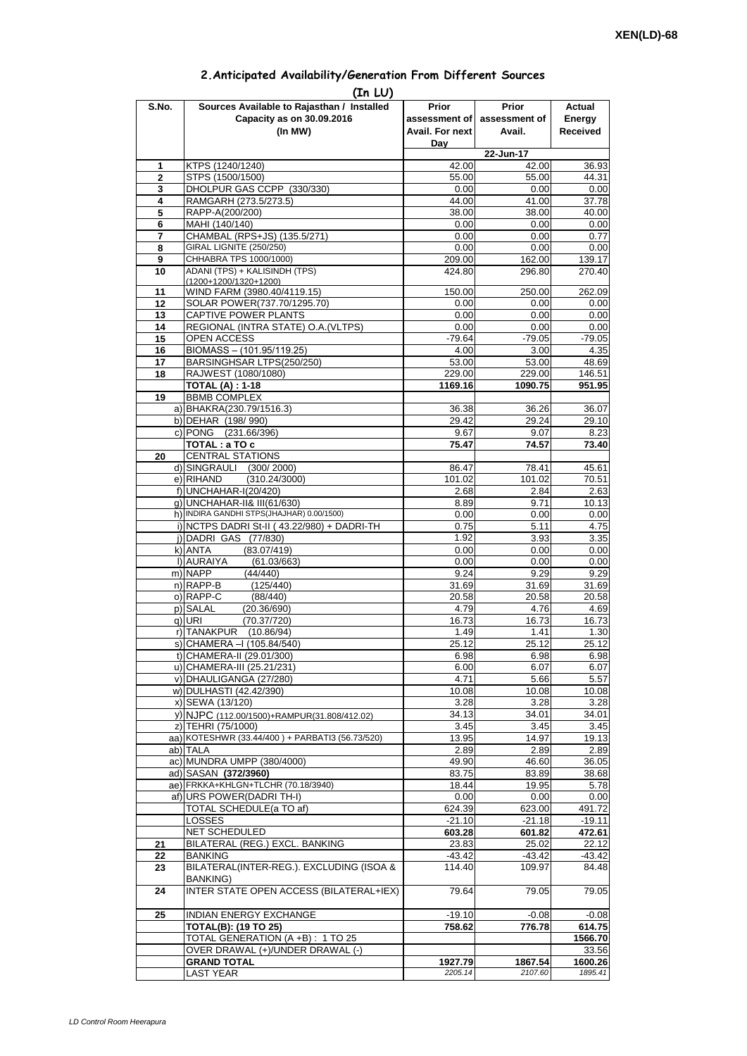## **2.Anticipated Availability/Generation From Different Sources**

| S.No.        | (In LU)<br>Sources Available to Rajasthan / Installed  | Prior              | <b>Prior</b>       | Actual             |
|--------------|--------------------------------------------------------|--------------------|--------------------|--------------------|
|              | Capacity as on 30.09.2016                              | assessment of      | assessment of      | Energy             |
|              | (In MW)                                                | Avail. For next    | Avail.             | <b>Received</b>    |
|              |                                                        | Day                |                    |                    |
|              |                                                        |                    | 22-Jun-17          |                    |
| 1            | KTPS (1240/1240)                                       | 42.00              | 42.00              | 36.93              |
| $\mathbf{2}$ | STPS (1500/1500)                                       | 55.00              | 55.00              | 44.31              |
| 3<br>4       | DHOLPUR GAS CCPP (330/330)<br>RAMGARH (273.5/273.5)    | 0.00<br>44.00      | 0.00<br>41.00      | 0.00<br>37.78      |
| 5            | RAPP-A(200/200)                                        | 38.00              | 38.00              | 40.00              |
| 6            | MAHI (140/140)                                         | 0.00               | 0.00               | 0.00               |
| 7            | CHAMBAL (RPS+JS) (135.5/271)                           | 0.00               | 0.00               | 0.77               |
| 8            | GIRAL LIGNITE (250/250)                                | 0.00               | 0.00               | 0.00               |
| 9            | CHHABRA TPS 1000/1000)                                 | 209.00             | 162.00             | 139.17             |
| 10           | ADANI (TPS) + KALISINDH (TPS)<br>(1200+1200/1320+1200) | 424.80             | 296.80             | 270.40             |
| 11           | WIND FARM (3980.40/4119.15)                            | 150.00             | 250.00             | 262.09             |
| 12           | SOLAR POWER(737.70/1295.70)                            | 0.00               | 0.00               | 0.00               |
| 13           | CAPTIVE POWER PLANTS                                   | 0.00               | 0.00               | 0.00               |
| 14           | REGIONAL (INTRA STATE) O.A. (VLTPS)                    | 0.00               | 0.00               | 0.00               |
| 15           | OPEN ACCESS                                            | $-79.64$           | $-79.05$           | $-79.05$           |
| 16           | BIOMASS - (101.95/119.25)<br>BARSINGHSAR LTPS(250/250) | 4.00<br>53.00      | 3.00<br>53.00      | 4.35<br>48.69      |
| 17<br>18     | RAJWEST (1080/1080)                                    | 229.00             | 229.00             | 146.51             |
|              | <b>TOTAL (A): 1-18</b>                                 | 1169.16            | 1090.75            | 951.95             |
| 19           | <b>BBMB COMPLEX</b>                                    |                    |                    |                    |
|              | a) BHAKRA(230.79/1516.3)                               | 36.38              | 36.26              | 36.07              |
|              | b) DEHAR (198/990)                                     | 29.42              | 29.24              | 29.10              |
|              | c) PONG (231.66/396)                                   | 9.67               | 9.07               | 8.23               |
|              | TOTAL: a TO c                                          | 75.47              | 74.57              | 73.40              |
| 20           | <b>CENTRAL STATIONS</b><br>d) SINGRAULI (300/2000)     | 86.47              | 78.41              | 45.61              |
|              | e) RIHAND<br>(310.24/3000)                             | 101.02             | 101.02             | 70.51              |
|              | f) UNCHAHAR-I(20/420)                                  | 2.68               | 2.84               | 2.63               |
|              | q) UNCHAHAR-II& III(61/630)                            | 8.89               | 9.71               | 10.13              |
|              | h) INDIRA GANDHI STPS(JHAJHAR) 0.00/1500)              | 0.00               | 0.00               | 0.00               |
|              | i) NCTPS DADRI St-II (43.22/980) + DADRI-TH            | 0.75               | 5.11               | 4.75               |
|              | j) DADRI GAS (77/830)                                  | 1.92               | 3.93               | 3.35               |
|              | k) ANTA<br>(83.07/419)<br>I) AURAIYA<br>(61.03/663)    | 0.00<br>0.00       | 0.00<br>0.00       | 0.00<br>0.00       |
|              | m) NAPP<br>(44/440)                                    | 9.24               | 9.29               | 9.29               |
|              | $n)$ RAPP-B<br>(125/440)                               | 31.69              | 31.69              | 31.69              |
|              | o) RAPP-C<br>(88/440)                                  | 20.58              | 20.58              | 20.58              |
|              | p) SALAL<br>(20.36/690)                                | 4.79               | 4.76               | 4.69               |
|              | $q)$ URI<br>(70.37/720)                                | 16.73              | 16.73              | 16.73              |
|              | r) TANAKPUR<br>(10.86/94)                              | 1.49               | 1.41               | 1.30               |
|              | s) CHAMERA - (105.84/540)<br>t) CHAMERA-II (29.01/300) | 25.12<br>6.98      | 25.12<br>6.98      | 25.12<br>6.98      |
|              | u) CHAMERA-III (25.21/231)                             | 6.00               | 6.07               | 6.07               |
|              | v) DHAULIGANGA (27/280)                                | 4.71               | 5.66               | 5.57               |
|              | w) DULHASTI (42.42/390)                                | 10.08              | 10.08              | 10.08              |
|              | x) SEWA (13/120)                                       | 3.28               | 3.28               | 3.28               |
|              | y) NJPC (112.00/1500)+RAMPUR(31.808/412.02)            | 34.13              | 34.01              | 34.01              |
|              | z) TEHRI (75/1000)                                     | 3.45               | 3.45               | 3.45               |
|              | aa) KOTESHWR (33.44/400) + PARBATI3 (56.73/520)        | 13.95              | 14.97              | 19.13              |
|              | ab) TALA<br>ac) MUNDRA UMPP (380/4000)                 | 2.89<br>49.90      | 2.89<br>46.60      | 2.89<br>36.05      |
|              | ad) SASAN (372/3960)                                   | 83.75              | 83.89              | 38.68              |
|              | ae) FRKKA+KHLGN+TLCHR (70.18/3940)                     | 18.44              | 19.95              | 5.78               |
|              | af) URS POWER(DADRI TH-I)                              | 0.00               | 0.00               | 0.00               |
|              | TOTAL SCHEDULE(a TO af)                                | 624.39             | 623.00             | 491.72             |
|              | LOSSES                                                 | $-21.10$           | $-21.18$           | $-19.11$           |
|              | NET SCHEDULED                                          | 603.28             | 601.82             | 472.61             |
| 21<br>22     | BILATERAL (REG.) EXCL. BANKING<br><b>BANKING</b>       | 23.83<br>$-43.42$  | 25.02<br>$-43.42$  | 22.12<br>$-43.42$  |
| 23           | BILATERAL(INTER-REG.). EXCLUDING (ISOA &               | 114.40             | 109.97             | 84.48              |
|              | <b>BANKING)</b>                                        |                    |                    |                    |
| 24           | INTER STATE OPEN ACCESS (BILATERAL+IEX)                | 79.64              | 79.05              | 79.05              |
|              |                                                        |                    |                    |                    |
| 25           | INDIAN ENERGY EXCHANGE                                 | $-19.10$           | $-0.08$            | $-0.08$            |
|              | <b>TOTAL(B): (19 TO 25)</b>                            | 758.62             | 776.78             | 614.75             |
|              | TOTAL GENERATION (A +B) : 1 TO 25                      |                    |                    | 1566.70            |
|              | OVER DRAWAL (+)/UNDER DRAWAL (-)                       |                    |                    | 33.56              |
|              | <b>GRAND TOTAL</b><br><b>LAST YEAR</b>                 | 1927.79<br>2205.14 | 1867.54<br>2107.60 | 1600.26<br>1895.41 |
|              |                                                        |                    |                    |                    |